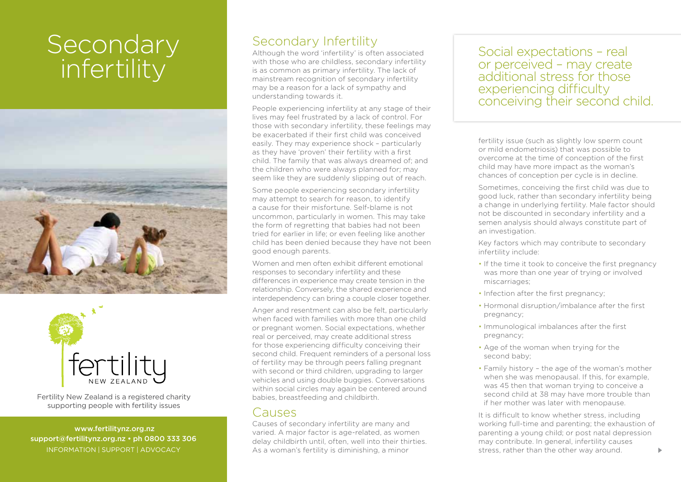# **Secondary** infertility





Fertility New Zealand is a registered charity supporting people with fertility issues

 www.fertilitynz.org.nz support@fertilitynz.org.nz • ph 0800 333 306

### Secondary Infertility

Although the word 'infertility' is often associated with those who are childless, secondary infertility is as common as primary infertility. The lack of mainstream recognition of secondary infertility may be a reason for a lack of sympathy and understanding towards it.

People experiencing infertility at any stage of their lives may feel frustrated by a lack of control. For those with secondary infertility, these feelings may be exacerbated if their first child was conceived easily. They may experience shock – particularly as they have 'proven' their fertility with a first child. The family that was always dreamed of; and the children who were always planned for; may seem like they are suddenly slipping out of reach.

Some people experiencing secondary infertility may attempt to search for reason, to identify a cause for their misfortune. Self-blame is not uncommon, particularly in women. This may take the form of regretting that babies had not been tried for earlier in life; or even feeling like another child has been denied because they have not been good enough parents.

Women and men often exhibit different emotional responses to secondary infertility and these differences in experience may create tension in the relationship. Conversely, the shared experience and interdependency can bring a couple closer together.

Anger and resentment can also be felt, particularly when faced with families with more than one child or pregnant women. Social expectations, whether real or perceived, may create additional stress for those experiencing difficulty conceiving their second child. Frequent reminders of a personal loss of fertility may be through peers falling pregnant with second or third children, upgrading to larger vehicles and using double buggies. Conversations within social circles may again be centered around babies, breastfeeding and childbirth.

#### Causes

Causes of secondary infertility are many and varied. A major factor is age-related, as women delay childbirth until, often, well into their thirties.

Social expectations – real or perceived – may create additional stress for those experiencing difficulty conceiving their second child.

fertility issue (such as slightly low sperm count or mild endometriosis) that was possible to overcome at the time of conception of the first child may have more impact as the woman's chances of conception per cycle is in decline.

Sometimes, conceiving the first child was due to good luck, rather than secondary infertility being a change in underlying fertility. Male factor should not be discounted in secondary infertility and a semen analysis should always constitute part of an investigation.

Key factors which may contribute to secondary infertility include:

- If the time it took to conceive the first pregnancy was more than one year of trying or involved miscarriages;
- Infection after the first pregnancy;
- Hormonal disruption/imbalance after the first pregnancy;
- Immunological imbalances after the first pregnancy;
- Age of the woman when trying for the second baby;
- Family history the age of the woman's mother when she was menopausal. If this, for example, was 45 then that woman trying to conceive a second child at 38 may have more trouble than if her mother was later with menopause.

INFORMATION | SUPPORT | ADVOCACY As a woman's fertility is diminishing, a minor stress, rather than the other way around. It is difficult to know whether stress, including working full-time and parenting; the exhaustion of parenting a young child; or post natal depression may contribute. In general, infertility causes stress, rather than the other way around.